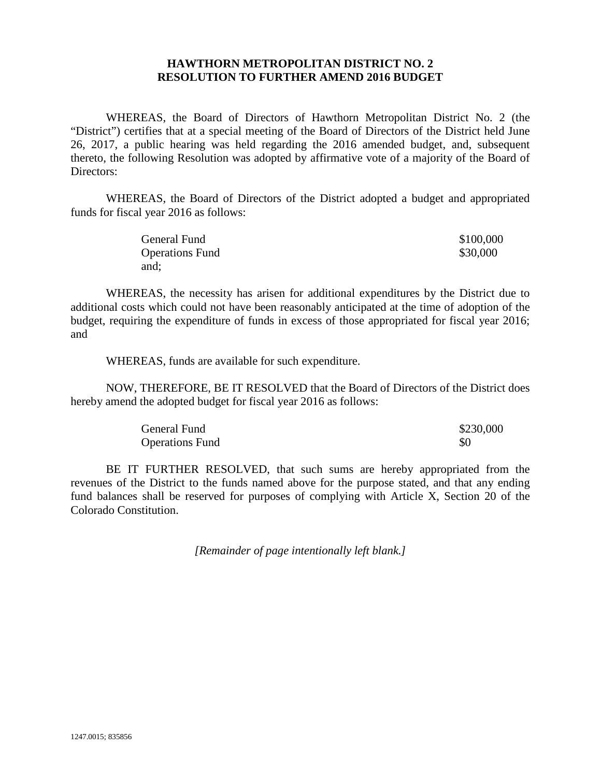## **HAWTHORN METROPOLITAN DISTRICT NO. 2 RESOLUTION TO FURTHER AMEND 2016 BUDGET**

WHEREAS, the Board of Directors of Hawthorn Metropolitan District No. 2 (the "District") certifies that at a special meeting of the Board of Directors of the District held June 26, 2017, a public hearing was held regarding the 2016 amended budget, and, subsequent thereto, the following Resolution was adopted by affirmative vote of a majority of the Board of Directors:

WHEREAS, the Board of Directors of the District adopted a budget and appropriated funds for fiscal year 2016 as follows:

| General Fund           | \$100,000 |
|------------------------|-----------|
| <b>Operations Fund</b> | \$30,000  |
| and:                   |           |

WHEREAS, the necessity has arisen for additional expenditures by the District due to additional costs which could not have been reasonably anticipated at the time of adoption of the budget, requiring the expenditure of funds in excess of those appropriated for fiscal year 2016; and

WHEREAS, funds are available for such expenditure.

NOW, THEREFORE, BE IT RESOLVED that the Board of Directors of the District does hereby amend the adopted budget for fiscal year 2016 as follows:

| <b>General Fund</b>    | \$230,000 |
|------------------------|-----------|
| <b>Operations Fund</b> | \$0       |

BE IT FURTHER RESOLVED, that such sums are hereby appropriated from the revenues of the District to the funds named above for the purpose stated, and that any ending fund balances shall be reserved for purposes of complying with Article X, Section 20 of the Colorado Constitution.

*[Remainder of page intentionally left blank.]*